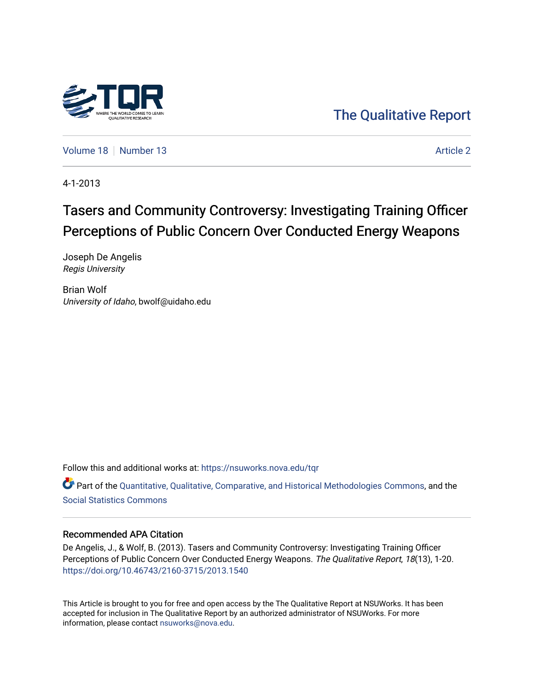

[The Qualitative Report](https://nsuworks.nova.edu/tqr) 

[Volume 18](https://nsuworks.nova.edu/tqr/vol18) [Number 13](https://nsuworks.nova.edu/tqr/vol18/iss13) Article 2

4-1-2013

# Tasers and Community Controversy: Investigating Training Officer Perceptions of Public Concern Over Conducted Energy Weapons

Joseph De Angelis Regis University

Brian Wolf University of Idaho, bwolf@uidaho.edu

Follow this and additional works at: [https://nsuworks.nova.edu/tqr](https://nsuworks.nova.edu/tqr?utm_source=nsuworks.nova.edu%2Ftqr%2Fvol18%2Fiss13%2F2&utm_medium=PDF&utm_campaign=PDFCoverPages) 

Part of the [Quantitative, Qualitative, Comparative, and Historical Methodologies Commons,](http://network.bepress.com/hgg/discipline/423?utm_source=nsuworks.nova.edu%2Ftqr%2Fvol18%2Fiss13%2F2&utm_medium=PDF&utm_campaign=PDFCoverPages) and the [Social Statistics Commons](http://network.bepress.com/hgg/discipline/1275?utm_source=nsuworks.nova.edu%2Ftqr%2Fvol18%2Fiss13%2F2&utm_medium=PDF&utm_campaign=PDFCoverPages) 

## Recommended APA Citation

De Angelis, J., & Wolf, B. (2013). Tasers and Community Controversy: Investigating Training Officer Perceptions of Public Concern Over Conducted Energy Weapons. The Qualitative Report, 18(13), 1-20. <https://doi.org/10.46743/2160-3715/2013.1540>

This Article is brought to you for free and open access by the The Qualitative Report at NSUWorks. It has been accepted for inclusion in The Qualitative Report by an authorized administrator of NSUWorks. For more information, please contact [nsuworks@nova.edu.](mailto:nsuworks@nova.edu)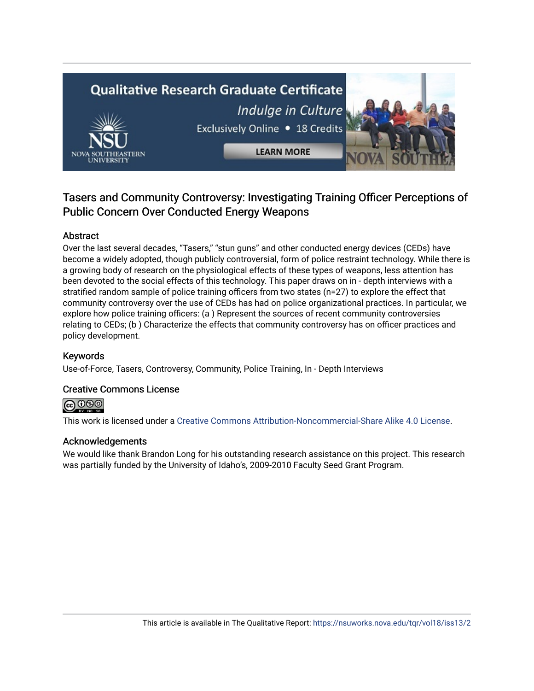# **Qualitative Research Graduate Certificate** Indulge in Culture



Exclusively Online . 18 Credits

**LEARN MORE** 

## Tasers and Community Controversy: Investigating Training Officer Perceptions of Public Concern Over Conducted Energy Weapons

## Abstract

Over the last several decades, "Tasers," "stun guns" and other conducted energy devices (CEDs) have become a widely adopted, though publicly controversial, form of police restraint technology. While there is a growing body of research on the physiological effects of these types of weapons, less attention has been devoted to the social effects of this technology. This paper draws on in - depth interviews with a stratified random sample of police training officers from two states (n=27) to explore the effect that community controversy over the use of CEDs has had on police organizational practices. In particular, we explore how police training officers: (a ) Represent the sources of recent community controversies relating to CEDs; (b ) Characterize the effects that community controversy has on officer practices and policy development.

## Keywords

Use-of-Force, Tasers, Controversy, Community, Police Training, In - Depth Interviews

## Creative Commons License

@ 000

This work is licensed under a [Creative Commons Attribution-Noncommercial-Share Alike 4.0 License](https://creativecommons.org/licenses/by-nc-sa/4.0/).

## Acknowledgements

We would like thank Brandon Long for his outstanding research assistance on this project. This research was partially funded by the University of Idaho's, 2009-2010 Faculty Seed Grant Program.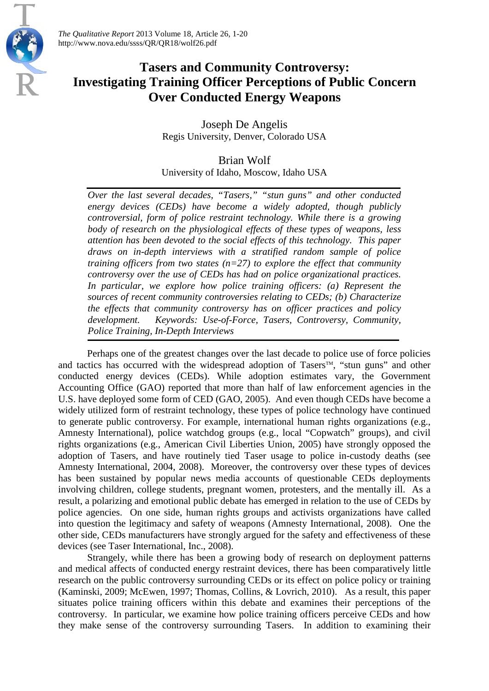## **Tasers and Community Controversy: Investigating Training Officer Perceptions of Public Concern Over Conducted Energy Weapons**

Joseph De Angelis Regis University, Denver, Colorado USA

Brian Wolf University of Idaho, Moscow, Idaho USA

*Over the last several decades, "Tasers," "stun guns" and other conducted energy devices (CEDs) have become a widely adopted, though publicly controversial, form of police restraint technology. While there is a growing body of research on the physiological effects of these types of weapons, less attention has been devoted to the social effects of this technology. This paper draws on in-depth interviews with a stratified random sample of police training officers from two states (n=27) to explore the effect that community controversy over the use of CEDs has had on police organizational practices.*  In particular, we explore how police training officers: (a) Represent the *sources of recent community controversies relating to CEDs; (b) Characterize the effects that community controversy has on officer practices and policy development. Keywords: Use-of-Force, Tasers, Controversy, Community, Police Training, In-Depth Interviews* 

Perhaps one of the greatest changes over the last decade to police use of force policies and tactics has occurred with the widespread adoption of Tasers<sup>TM</sup>, "stun guns" and other conducted energy devices (CEDs). While adoption estimates vary, the Government Accounting Office (GAO) reported that more than half of law enforcement agencies in the U.S. have deployed some form of CED (GAO, 2005). And even though CEDs have become a widely utilized form of restraint technology, these types of police technology have continued to generate public controversy. For example, international human rights organizations (e.g., Amnesty International), police watchdog groups (e.g., local "Copwatch" groups), and civil rights organizations (e.g., American Civil Liberties Union, 2005) have strongly opposed the adoption of Tasers, and have routinely tied Taser usage to police in-custody deaths (see Amnesty International, 2004, 2008). Moreover, the controversy over these types of devices has been sustained by popular news media accounts of questionable CEDs deployments involving children, college students, pregnant women, protesters, and the mentally ill. As a result, a polarizing and emotional public debate has emerged in relation to the use of CEDs by police agencies. On one side, human rights groups and activists organizations have called into question the legitimacy and safety of weapons (Amnesty International, 2008). One the other side, CEDs manufacturers have strongly argued for the safety and effectiveness of these devices (see Taser International, Inc., 2008).

Strangely, while there has been a growing body of research on deployment patterns and medical affects of conducted energy restraint devices, there has been comparatively little research on the public controversy surrounding CEDs or its effect on police policy or training (Kaminski, 2009; McEwen, 1997; Thomas, Collins, & Lovrich, 2010). As a result, this paper situates police training officers within this debate and examines their perceptions of the controversy. In particular, we examine how police training officers perceive CEDs and how they make sense of the controversy surrounding Tasers. In addition to examining their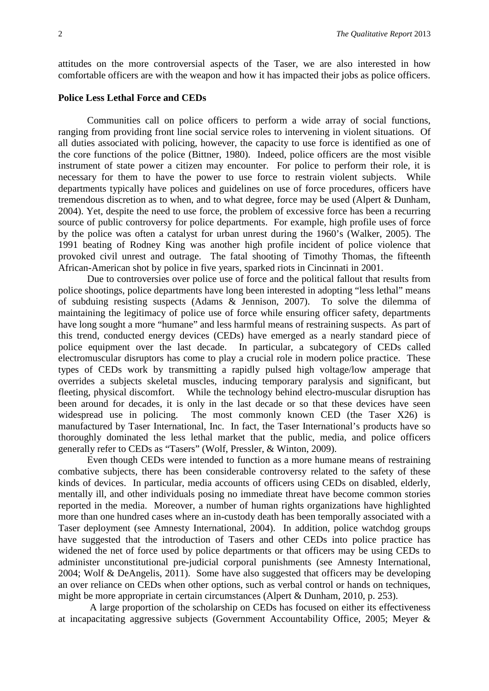attitudes on the more controversial aspects of the Taser, we are also interested in how comfortable officers are with the weapon and how it has impacted their jobs as police officers.

#### **Police Less Lethal Force and CEDs**

Communities call on police officers to perform a wide array of social functions, ranging from providing front line social service roles to intervening in violent situations. Of all duties associated with policing, however, the capacity to use force is identified as one of the core functions of the police (Bittner, 1980). Indeed, police officers are the most visible instrument of state power a citizen may encounter. For police to perform their role, it is necessary for them to have the power to use force to restrain violent subjects. While departments typically have polices and guidelines on use of force procedures, officers have tremendous discretion as to when, and to what degree, force may be used (Alpert & Dunham, 2004). Yet, despite the need to use force, the problem of excessive force has been a recurring source of public controversy for police departments. For example, high profile uses of force by the police was often a catalyst for urban unrest during the 1960's (Walker, 2005). The 1991 beating of Rodney King was another high profile incident of police violence that provoked civil unrest and outrage. The fatal shooting of Timothy Thomas, the fifteenth African-American shot by police in five years, sparked riots in Cincinnati in 2001.

Due to controversies over police use of force and the political fallout that results from police shootings, police departments have long been interested in adopting "less lethal" means of subduing resisting suspects (Adams & Jennison, 2007). To solve the dilemma of maintaining the legitimacy of police use of force while ensuring officer safety, departments have long sought a more "humane" and less harmful means of restraining suspects. As part of this trend, conducted energy devices (CEDs) have emerged as a nearly standard piece of police equipment over the last decade. In particular, a subcategory of CEDs called electromuscular disruptors has come to play a crucial role in modern police practice. These types of CEDs work by transmitting a rapidly pulsed high voltage/low amperage that overrides a subjects skeletal muscles, inducing temporary paralysis and significant, but fleeting, physical discomfort. While the technology behind electro-muscular disruption has While the technology behind electro-muscular disruption has been around for decades, it is only in the last decade or so that these devices have seen widespread use in policing. The most commonly known CED (the Taser X26) is manufactured by Taser International, Inc. In fact, the Taser International's products have so thoroughly dominated the less lethal market that the public, media, and police officers generally refer to CEDs as "Tasers" (Wolf, Pressler, & Winton, 2009).

Even though CEDs were intended to function as a more humane means of restraining combative subjects, there has been considerable controversy related to the safety of these kinds of devices. In particular, media accounts of officers using CEDs on disabled, elderly, mentally ill, and other individuals posing no immediate threat have become common stories reported in the media. Moreover, a number of human rights organizations have highlighted more than one hundred cases where an in-custody death has been temporally associated with a Taser deployment (see Amnesty International, 2004). In addition, police watchdog groups have suggested that the introduction of Tasers and other CEDs into police practice has widened the net of force used by police departments or that officers may be using CEDs to administer unconstitutional pre-judicial corporal punishments (see Amnesty International, 2004; Wolf & DeAngelis, 2011). Some have also suggested that officers may be developing an over reliance on CEDs when other options, such as verbal control or hands on techniques, might be more appropriate in certain circumstances (Alpert & Dunham, 2010, p. 253).

A large proportion of the scholarship on CEDs has focused on either its effectiveness at incapacitating aggressive subjects (Government Accountability Office, 2005; Meyer &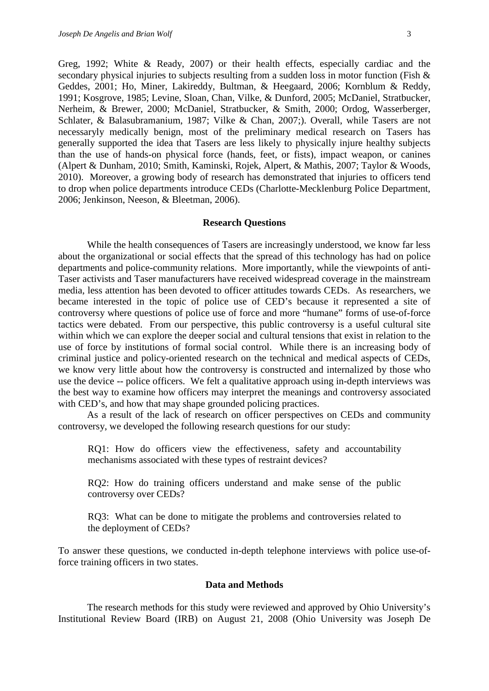Greg, 1992; White & Ready, 2007) or their health effects, especially cardiac and the secondary physical injuries to subjects resulting from a sudden loss in motor function (Fish & Geddes, 2001; Ho, Miner, Lakireddy, Bultman, & Heegaard, 2006; Kornblum & Reddy, 1991; Kosgrove, 1985; Levine, Sloan, Chan, Vilke, & Dunford, 2005; McDaniel, Stratbucker, Nerheim, & Brewer, 2000; McDaniel, Stratbucker, & Smith, 2000; Ordog, Wasserberger, Schlater, & Balasubramanium, 1987; Vilke & Chan, 2007;). Overall, while Tasers are not necessaryly medically benign, most of the preliminary medical research on Tasers has generally supported the idea that Tasers are less likely to physically injure healthy subjects than the use of hands-on physical force (hands, feet, or fists), impact weapon, or canines (Alpert & Dunham, 2010; Smith, Kaminski, Rojek, Alpert, & Mathis, 2007; Taylor & Woods, 2010). Moreover, a growing body of research has demonstrated that injuries to officers tend to drop when police departments introduce CEDs (Charlotte-Mecklenburg Police Department, 2006; Jenkinson, Neeson, & Bleetman, 2006).

#### **Research Questions**

While the health consequences of Tasers are increasingly understood, we know far less about the organizational or social effects that the spread of this technology has had on police departments and police-community relations. More importantly, while the viewpoints of anti-Taser activists and Taser manufacturers have received widespread coverage in the mainstream media, less attention has been devoted to officer attitudes towards CEDs. As researchers, we became interested in the topic of police use of CED's because it represented a site of controversy where questions of police use of force and more "humane" forms of use-of-force tactics were debated. From our perspective, this public controversy is a useful cultural site within which we can explore the deeper social and cultural tensions that exist in relation to the use of force by institutions of formal social control. While there is an increasing body of criminal justice and policy-oriented research on the technical and medical aspects of CEDs, we know very little about how the controversy is constructed and internalized by those who use the device -- police officers. We felt a qualitative approach using in-depth interviews was the best way to examine how officers may interpret the meanings and controversy associated with CED's, and how that may shape grounded policing practices.

As a result of the lack of research on officer perspectives on CEDs and community controversy, we developed the following research questions for our study:

RQ1: How do officers view the effectiveness, safety and accountability mechanisms associated with these types of restraint devices?

RQ2: How do training officers understand and make sense of the public controversy over CEDs?

RQ3: What can be done to mitigate the problems and controversies related to the deployment of CEDs?

To answer these questions, we conducted in-depth telephone interviews with police use-offorce training officers in two states.

#### **Data and Methods**

The research methods for this study were reviewed and approved by Ohio University's Institutional Review Board (IRB) on August 21, 2008 (Ohio University was Joseph De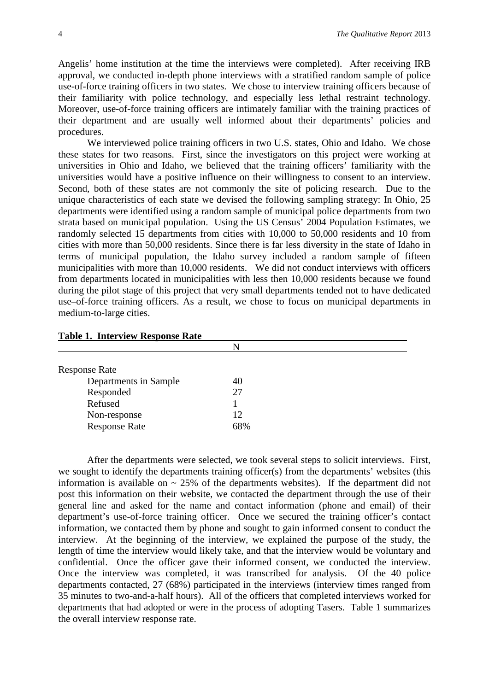Angelis' home institution at the time the interviews were completed). After receiving IRB approval, we conducted in-depth phone interviews with a stratified random sample of police use-of-force training officers in two states. We chose to interview training officers because of their familiarity with police technology, and especially less lethal restraint technology. Moreover, use-of-force training officers are intimately familiar with the training practices of their department and are usually well informed about their departments' policies and procedures.

We interviewed police training officers in two U.S. states, Ohio and Idaho. We chose these states for two reasons. First, since the investigators on this project were working at universities in Ohio and Idaho, we believed that the training officers' familiarity with the universities would have a positive influence on their willingness to consent to an interview. Second, both of these states are not commonly the site of policing research. Due to the unique characteristics of each state we devised the following sampling strategy: In Ohio, 25 departments were identified using a random sample of municipal police departments from two strata based on municipal population. Using the US Census' 2004 Population Estimates, we randomly selected 15 departments from cities with 10,000 to 50,000 residents and 10 from cities with more than 50,000 residents. Since there is far less diversity in the state of Idaho in terms of municipal population, the Idaho survey included a random sample of fifteen municipalities with more than 10,000 residents. We did not conduct interviews with officers from departments located in municipalities with less then 10,000 residents because we found during the pilot stage of this project that very small departments tended not to have dedicated use–of-force training officers. As a result, we chose to focus on municipal departments in medium-to-large cities.

|                       | N   |  |
|-----------------------|-----|--|
|                       |     |  |
| <b>Response Rate</b>  |     |  |
| Departments in Sample | 40  |  |
| Responded             | 27  |  |
| Refused               |     |  |
| Non-response          | 12  |  |
| <b>Response Rate</b>  | 68% |  |
|                       |     |  |

#### **Table 1. Interview Response Rate**

After the departments were selected, we took several steps to solicit interviews. First, we sought to identify the departments training officer(s) from the departments' websites (this information is available on  $\sim$  25% of the departments websites). If the department did not post this information on their website, we contacted the department through the use of their general line and asked for the name and contact information (phone and email) of their department's use-of-force training officer. Once we secured the training officer's contact information, we contacted them by phone and sought to gain informed consent to conduct the interview. At the beginning of the interview, we explained the purpose of the study, the length of time the interview would likely take, and that the interview would be voluntary and confidential. Once the officer gave their informed consent, we conducted the interview. Once the interview was completed, it was transcribed for analysis. Of the 40 police departments contacted, 27 (68%) participated in the interviews (interview times ranged from 35 minutes to two-and-a-half hours). All of the officers that completed interviews worked for departments that had adopted or were in the process of adopting Tasers. Table 1 summarizes the overall interview response rate.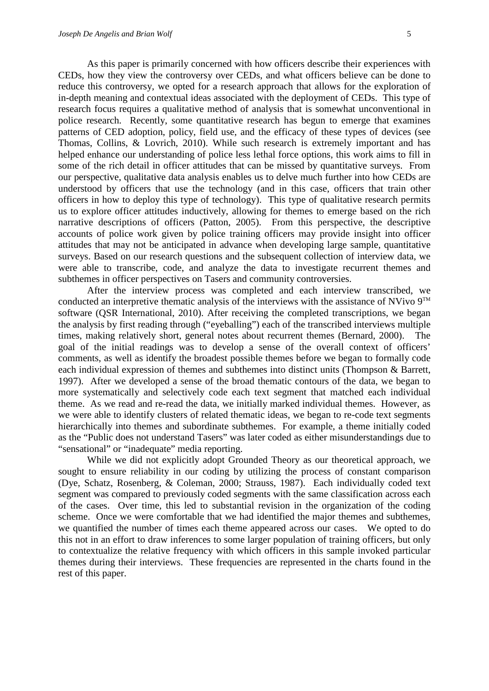As this paper is primarily concerned with how officers describe their experiences with CEDs, how they view the controversy over CEDs, and what officers believe can be done to reduce this controversy, we opted for a research approach that allows for the exploration of in-depth meaning and contextual ideas associated with the deployment of CEDs. This type of research focus requires a qualitative method of analysis that is somewhat unconventional in police research. Recently, some quantitative research has begun to emerge that examines patterns of CED adoption, policy, field use, and the efficacy of these types of devices (see Thomas, Collins, & Lovrich, 2010). While such research is extremely important and has helped enhance our understanding of police less lethal force options, this work aims to fill in some of the rich detail in officer attitudes that can be missed by quantitative surveys. From our perspective, qualitative data analysis enables us to delve much further into how CEDs are understood by officers that use the technology (and in this case, officers that train other officers in how to deploy this type of technology). This type of qualitative research permits us to explore officer attitudes inductively, allowing for themes to emerge based on the rich narrative descriptions of officers (Patton, 2005). From this perspective, the descriptive accounts of police work given by police training officers may provide insight into officer attitudes that may not be anticipated in advance when developing large sample, quantitative surveys. Based on our research questions and the subsequent collection of interview data, we were able to transcribe, code, and analyze the data to investigate recurrent themes and subthemes in officer perspectives on Tasers and community controversies.

After the interview process was completed and each interview transcribed, we conducted an interpretive thematic analysis of the interviews with the assistance of NVivo  $9^{TM}$ software (QSR International, 2010). After receiving the completed transcriptions, we began the analysis by first reading through ("eyeballing") each of the transcribed interviews multiple times, making relatively short, general notes about recurrent themes (Bernard, 2000). The goal of the initial readings was to develop a sense of the overall context of officers' comments, as well as identify the broadest possible themes before we began to formally code each individual expression of themes and subthemes into distinct units (Thompson & Barrett, 1997). After we developed a sense of the broad thematic contours of the data, we began to more systematically and selectively code each text segment that matched each individual theme. As we read and re-read the data, we initially marked individual themes. However, as we were able to identify clusters of related thematic ideas, we began to re-code text segments hierarchically into themes and subordinate subthemes. For example, a theme initially coded as the "Public does not understand Tasers" was later coded as either misunderstandings due to "sensational" or "inadequate" media reporting.

While we did not explicitly adopt Grounded Theory as our theoretical approach, we sought to ensure reliability in our coding by utilizing the process of constant comparison (Dye, Schatz, Rosenberg, & Coleman, 2000; Strauss, 1987). Each individually coded text segment was compared to previously coded segments with the same classification across each of the cases. Over time, this led to substantial revision in the organization of the coding scheme. Once we were comfortable that we had identified the major themes and subthemes, we quantified the number of times each theme appeared across our cases. We opted to do this not in an effort to draw inferences to some larger population of training officers, but only to contextualize the relative frequency with which officers in this sample invoked particular themes during their interviews. These frequencies are represented in the charts found in the rest of this paper.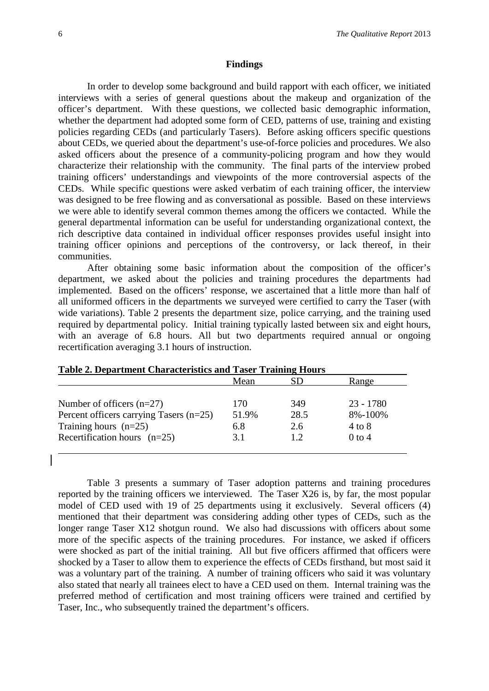#### **Findings**

In order to develop some background and build rapport with each officer, we initiated interviews with a series of general questions about the makeup and organization of the officer's department. With these questions, we collected basic demographic information, whether the department had adopted some form of CED, patterns of use, training and existing policies regarding CEDs (and particularly Tasers). Before asking officers specific questions about CEDs, we queried about the department's use-of-force policies and procedures. We also asked officers about the presence of a community-policing program and how they would characterize their relationship with the community. The final parts of the interview probed training officers' understandings and viewpoints of the more controversial aspects of the CEDs. While specific questions were asked verbatim of each training officer, the interview was designed to be free flowing and as conversational as possible. Based on these interviews we were able to identify several common themes among the officers we contacted. While the general departmental information can be useful for understanding organizational context, the rich descriptive data contained in individual officer responses provides useful insight into training officer opinions and perceptions of the controversy, or lack thereof, in their communities.

After obtaining some basic information about the composition of the officer's department, we asked about the policies and training procedures the departments had implemented. Based on the officers' response, we ascertained that a little more than half of all uniformed officers in the departments we surveyed were certified to carry the Taser (with wide variations). Table 2 presents the department size, police carrying, and the training used required by departmental policy. Initial training typically lasted between six and eight hours, with an average of 6.8 hours. All but two departments required annual or ongoing recertification averaging 3.1 hours of instruction.

|                                           | Mean  | SD   | Range             |
|-------------------------------------------|-------|------|-------------------|
|                                           |       |      |                   |
| Number of officers $(n=27)$               | 170   | 349  | 23 - 1780         |
| Percent officers carrying Tasers $(n=25)$ | 51.9% | 28.5 | 8%-100%           |
| Training hours $(n=25)$                   | 6.8   | 2.6  | $4 \text{ to } 8$ |
| Recertification hours $(n=25)$            | 3.1   | 12   | $0$ to 4          |

|  | <b>Table 2. Department Characteristics and Taser Training Hours</b> |  |  |
|--|---------------------------------------------------------------------|--|--|
|  |                                                                     |  |  |

Table 3 presents a summary of Taser adoption patterns and training procedures reported by the training officers we interviewed. The Taser X26 is, by far, the most popular model of CED used with 19 of 25 departments using it exclusively. Several officers (4) mentioned that their department was considering adding other types of CEDs, such as the longer range Taser X12 shotgun round. We also had discussions with officers about some more of the specific aspects of the training procedures. For instance, we asked if officers were shocked as part of the initial training. All but five officers affirmed that officers were shocked by a Taser to allow them to experience the effects of CEDs firsthand, but most said it was a voluntary part of the training. A number of training officers who said it was voluntary also stated that nearly all trainees elect to have a CED used on them. Internal training was the preferred method of certification and most training officers were trained and certified by Taser, Inc., who subsequently trained the department's officers.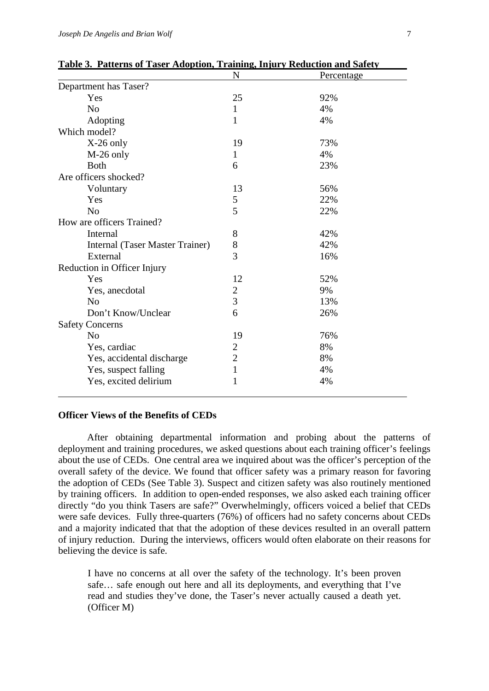|                                 | N              | Percentage |
|---------------------------------|----------------|------------|
| Department has Taser?           |                |            |
| Yes                             | 25             | 92%        |
| N <sub>o</sub>                  | $\mathbf{1}$   | 4%         |
| Adopting                        | 1              | 4%         |
| Which model?                    |                |            |
| $X-26$ only                     | 19             | 73%        |
| $M-26$ only                     | $\mathbf{1}$   | 4%         |
| <b>Both</b>                     | 6              | 23%        |
| Are officers shocked?           |                |            |
| Voluntary                       | 13             | 56%        |
| Yes                             | 5              | 22%        |
| No                              | 5              | 22%        |
| How are officers Trained?       |                |            |
| Internal                        | 8              | 42%        |
| Internal (Taser Master Trainer) | 8              | 42%        |
| External                        | $\overline{3}$ | 16%        |
| Reduction in Officer Injury     |                |            |
| Yes                             | 12             | 52%        |
| Yes, anecdotal                  | $\overline{2}$ | 9%         |
| N <sub>o</sub>                  | 3              | 13%        |
| Don't Know/Unclear              | 6              | 26%        |
| <b>Safety Concerns</b>          |                |            |
| N <sub>o</sub>                  | 19             | 76%        |
| Yes, cardiac                    | 2              | 8%         |
| Yes, accidental discharge       | $\overline{2}$ | 8%         |
| Yes, suspect falling            | $\mathbf{1}$   | 4%         |
| Yes, excited delirium           | 1              | 4%         |

**Table 3. Patterns of Taser Adoption, Training, Injury Reduction and Safety**

#### **Officer Views of the Benefits of CEDs**

After obtaining departmental information and probing about the patterns of deployment and training procedures, we asked questions about each training officer's feelings about the use of CEDs. One central area we inquired about was the officer's perception of the overall safety of the device. We found that officer safety was a primary reason for favoring the adoption of CEDs (See Table 3). Suspect and citizen safety was also routinely mentioned by training officers. In addition to open-ended responses, we also asked each training officer directly "do you think Tasers are safe?" Overwhelmingly, officers voiced a belief that CEDs were safe devices. Fully three-quarters (76%) of officers had no safety concerns about CEDs and a majority indicated that that the adoption of these devices resulted in an overall pattern of injury reduction. During the interviews, officers would often elaborate on their reasons for believing the device is safe.

I have no concerns at all over the safety of the technology. It's been proven safe… safe enough out here and all its deployments, and everything that I've read and studies they've done, the Taser's never actually caused a death yet. (Officer M)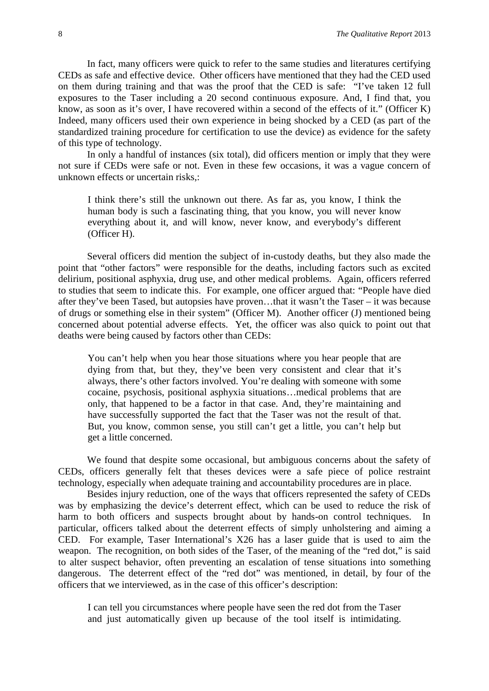In fact, many officers were quick to refer to the same studies and literatures certifying CEDs as safe and effective device. Other officers have mentioned that they had the CED used on them during training and that was the proof that the CED is safe: "I've taken 12 full exposures to the Taser including a 20 second continuous exposure. And, I find that, you know, as soon as it's over, I have recovered within a second of the effects of it." (Officer K) Indeed, many officers used their own experience in being shocked by a CED (as part of the standardized training procedure for certification to use the device) as evidence for the safety of this type of technology.

In only a handful of instances (six total), did officers mention or imply that they were not sure if CEDs were safe or not. Even in these few occasions, it was a vague concern of unknown effects or uncertain risks,:

I think there's still the unknown out there. As far as, you know, I think the human body is such a fascinating thing, that you know, you will never know everything about it, and will know, never know, and everybody's different (Officer H).

Several officers did mention the subject of in-custody deaths, but they also made the point that "other factors" were responsible for the deaths, including factors such as excited delirium, positional asphyxia, drug use, and other medical problems. Again, officers referred to studies that seem to indicate this. For example, one officer argued that: "People have died after they've been Tased, but autopsies have proven…that it wasn't the Taser – it was because of drugs or something else in their system" (Officer M). Another officer (J) mentioned being concerned about potential adverse effects. Yet, the officer was also quick to point out that deaths were being caused by factors other than CEDs:

You can't help when you hear those situations where you hear people that are dying from that, but they, they've been very consistent and clear that it's always, there's other factors involved. You're dealing with someone with some cocaine, psychosis, positional asphyxia situations…medical problems that are only, that happened to be a factor in that case. And, they're maintaining and have successfully supported the fact that the Taser was not the result of that. But, you know, common sense, you still can't get a little, you can't help but get a little concerned.

We found that despite some occasional, but ambiguous concerns about the safety of CEDs, officers generally felt that theses devices were a safe piece of police restraint technology, especially when adequate training and accountability procedures are in place.

Besides injury reduction, one of the ways that officers represented the safety of CEDs was by emphasizing the device's deterrent effect, which can be used to reduce the risk of harm to both officers and suspects brought about by hands-on control techniques. In particular, officers talked about the deterrent effects of simply unholstering and aiming a CED. For example, Taser International's X26 has a laser guide that is used to aim the weapon. The recognition, on both sides of the Taser, of the meaning of the "red dot," is said to alter suspect behavior, often preventing an escalation of tense situations into something dangerous. The deterrent effect of the "red dot" was mentioned, in detail, by four of the officers that we interviewed, as in the case of this officer's description:

I can tell you circumstances where people have seen the red dot from the Taser and just automatically given up because of the tool itself is intimidating.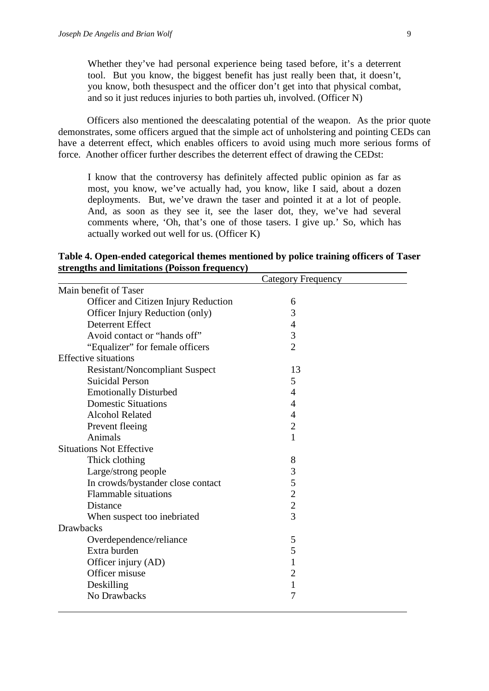Whether they've had personal experience being tased before, it's a deterrent tool. But you know, the biggest benefit has just really been that, it doesn't, you know, both thesuspect and the officer don't get into that physical combat, and so it just reduces injuries to both parties uh, involved. (Officer N)

Officers also mentioned the deescalating potential of the weapon. As the prior quote demonstrates, some officers argued that the simple act of unholstering and pointing CEDs can have a deterrent effect, which enables officers to avoid using much more serious forms of force. Another officer further describes the deterrent effect of drawing the CEDst:

I know that the controversy has definitely affected public opinion as far as most, you know, we've actually had, you know, like I said, about a dozen deployments. But, we've drawn the taser and pointed it at a lot of people. And, as soon as they see it, see the laser dot, they, we've had several comments where, 'Oh, that's one of those tasers. I give up.' So, which has actually worked out well for us. (Officer K)

**Table 4. Open-ended categorical themes mentioned by police training officers of Taser strengths and limitations (Poisson frequency)**

|                                       | <b>Category Frequency</b> |
|---------------------------------------|---------------------------|
| Main benefit of Taser                 |                           |
| Officer and Citizen Injury Reduction  | 6                         |
| Officer Injury Reduction (only)       | 3                         |
| <b>Deterrent Effect</b>               | 4                         |
| Avoid contact or "hands off"          | 3                         |
| "Equalizer" for female officers       | $\overline{2}$            |
| <b>Effective situations</b>           |                           |
| <b>Resistant/Noncompliant Suspect</b> | 13                        |
| Suicidal Person                       | 5                         |
| <b>Emotionally Disturbed</b>          | $\overline{4}$            |
| <b>Domestic Situations</b>            | $\overline{4}$            |
| <b>Alcohol Related</b>                | $\overline{4}$            |
| Prevent fleeing                       | $\overline{2}$            |
| Animals                               | 1                         |
| <b>Situations Not Effective</b>       |                           |
| Thick clothing                        | 8                         |
| Large/strong people                   | 3                         |
| In crowds/bystander close contact     | 5                         |
| <b>Flammable situations</b>           | $\overline{2}$            |
| <b>Distance</b>                       | $\overline{c}$            |
| When suspect too inebriated           | $\overline{3}$            |
| <b>Drawbacks</b>                      |                           |
| Overdependence/reliance               | 5                         |
| Extra burden                          | 5                         |
| Officer injury (AD)                   | 1                         |
| Officer misuse                        | 2                         |
| Deskilling                            | 1                         |
| No Drawbacks                          | 7                         |
|                                       |                           |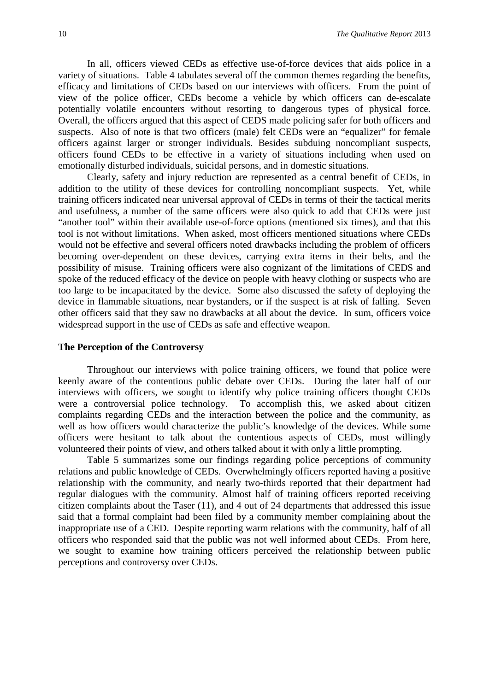In all, officers viewed CEDs as effective use-of-force devices that aids police in a variety of situations. Table 4 tabulates several off the common themes regarding the benefits, efficacy and limitations of CEDs based on our interviews with officers. From the point of view of the police officer, CEDs become a vehicle by which officers can de-escalate potentially volatile encounters without resorting to dangerous types of physical force. Overall, the officers argued that this aspect of CEDS made policing safer for both officers and suspects. Also of note is that two officers (male) felt CEDs were an "equalizer" for female officers against larger or stronger individuals. Besides subduing noncompliant suspects, officers found CEDs to be effective in a variety of situations including when used on emotionally disturbed individuals, suicidal persons, and in domestic situations.

Clearly, safety and injury reduction are represented as a central benefit of CEDs, in addition to the utility of these devices for controlling noncompliant suspects. Yet, while training officers indicated near universal approval of CEDs in terms of their the tactical merits and usefulness, a number of the same officers were also quick to add that CEDs were just "another tool" within their available use-of-force options (mentioned six times), and that this tool is not without limitations. When asked, most officers mentioned situations where CEDs would not be effective and several officers noted drawbacks including the problem of officers becoming over-dependent on these devices, carrying extra items in their belts, and the possibility of misuse. Training officers were also cognizant of the limitations of CEDS and spoke of the reduced efficacy of the device on people with heavy clothing or suspects who are too large to be incapacitated by the device. Some also discussed the safety of deploying the device in flammable situations, near bystanders, or if the suspect is at risk of falling. Seven other officers said that they saw no drawbacks at all about the device. In sum, officers voice widespread support in the use of CEDs as safe and effective weapon.

#### **The Perception of the Controversy**

Throughout our interviews with police training officers, we found that police were keenly aware of the contentious public debate over CEDs. During the later half of our interviews with officers, we sought to identify why police training officers thought CEDs were a controversial police technology. To accomplish this, we asked about citizen complaints regarding CEDs and the interaction between the police and the community, as well as how officers would characterize the public's knowledge of the devices. While some officers were hesitant to talk about the contentious aspects of CEDs, most willingly volunteered their points of view, and others talked about it with only a little prompting.

Table 5 summarizes some our findings regarding police perceptions of community relations and public knowledge of CEDs. Overwhelmingly officers reported having a positive relationship with the community, and nearly two-thirds reported that their department had regular dialogues with the community. Almost half of training officers reported receiving citizen complaints about the Taser (11), and 4 out of 24 departments that addressed this issue said that a formal complaint had been filed by a community member complaining about the inappropriate use of a CED. Despite reporting warm relations with the community, half of all officers who responded said that the public was not well informed about CEDs. From here, we sought to examine how training officers perceived the relationship between public perceptions and controversy over CEDs.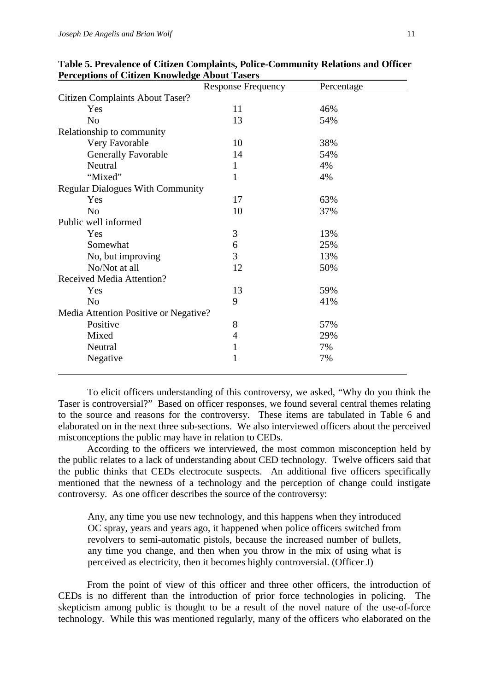|                                         | <b>Response Frequency</b> | Percentage |
|-----------------------------------------|---------------------------|------------|
| <b>Citizen Complaints About Taser?</b>  |                           |            |
| Yes                                     | 11                        | 46%        |
| N <sub>o</sub>                          | 13                        | 54%        |
| Relationship to community               |                           |            |
| Very Favorable                          | 10                        | 38%        |
| <b>Generally Favorable</b>              | 14                        | 54%        |
| Neutral                                 | 1                         | 4%         |
| "Mixed"                                 | 1                         | 4%         |
| <b>Regular Dialogues With Community</b> |                           |            |
| Yes                                     | 17                        | 63%        |
| No                                      | 10                        | 37%        |
| Public well informed                    |                           |            |
| Yes                                     | 3                         | 13%        |
| Somewhat                                | 6                         | 25%        |
| No, but improving                       | 3                         | 13%        |
| No/Not at all                           | 12                        | 50%        |
| <b>Received Media Attention?</b>        |                           |            |
| Yes                                     | 13                        | 59%        |
| N <sub>0</sub>                          | 9                         | 41%        |
| Media Attention Positive or Negative?   |                           |            |
| Positive                                | 8                         | 57%        |
| Mixed                                   | 4                         | 29%        |
| Neutral                                 | 1                         | 7%         |
| Negative                                | 1                         | 7%         |
|                                         |                           |            |

**Table 5. Prevalence of Citizen Complaints, Police-Community Relations and Officer Perceptions of Citizen Knowledge About Tasers**

To elicit officers understanding of this controversy, we asked, "Why do you think the Taser is controversial?" Based on officer responses, we found several central themes relating to the source and reasons for the controversy. These items are tabulated in Table 6 and elaborated on in the next three sub-sections. We also interviewed officers about the perceived misconceptions the public may have in relation to CEDs.

According to the officers we interviewed, the most common misconception held by the public relates to a lack of understanding about CED technology. Twelve officers said that the public thinks that CEDs electrocute suspects. An additional five officers specifically mentioned that the newness of a technology and the perception of change could instigate controversy. As one officer describes the source of the controversy:

Any, any time you use new technology, and this happens when they introduced OC spray, years and years ago, it happened when police officers switched from revolvers to semi-automatic pistols, because the increased number of bullets, any time you change, and then when you throw in the mix of using what is perceived as electricity, then it becomes highly controversial. (Officer J)

From the point of view of this officer and three other officers, the introduction of CEDs is no different than the introduction of prior force technologies in policing. The skepticism among public is thought to be a result of the novel nature of the use-of-force technology. While this was mentioned regularly, many of the officers who elaborated on the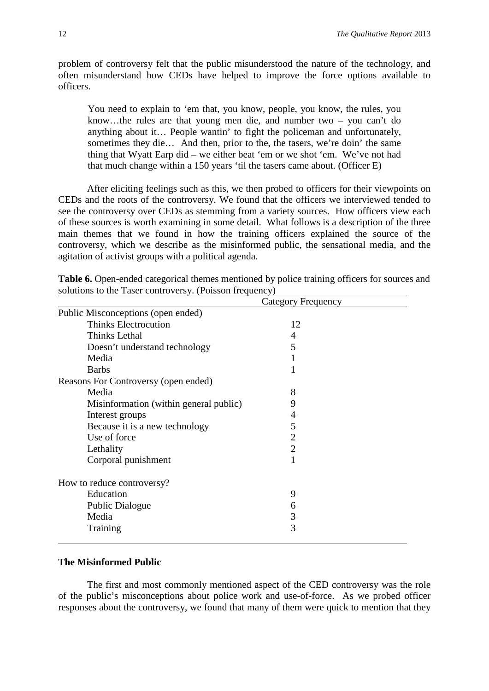problem of controversy felt that the public misunderstood the nature of the technology, and often misunderstand how CEDs have helped to improve the force options available to officers.

You need to explain to 'em that, you know, people, you know, the rules, you know…the rules are that young men die, and number two – you can't do anything about it… People wantin' to fight the policeman and unfortunately, sometimes they die... And then, prior to the, the tasers, we're doin' the same thing that Wyatt Earp did – we either beat 'em or we shot 'em. We've not had that much change within a 150 years 'til the tasers came about. (Officer E)

After eliciting feelings such as this, we then probed to officers for their viewpoints on CEDs and the roots of the controversy. We found that the officers we interviewed tended to see the controversy over CEDs as stemming from a variety sources. How officers view each of these sources is worth examining in some detail. What follows is a description of the three main themes that we found in how the training officers explained the source of the controversy, which we describe as the misinformed public, the sensational media, and the agitation of activist groups with a political agenda.

| Table 6. Open-ended categorical themes mentioned by police training officers for sources and |  |
|----------------------------------------------------------------------------------------------|--|
| solutions to the Taser controversy. (Poisson frequency)                                      |  |

|                                        | <b>Category Frequency</b> |
|----------------------------------------|---------------------------|
| Public Misconceptions (open ended)     |                           |
| <b>Thinks Electrocution</b>            | 12                        |
| <b>Thinks Lethal</b>                   | 4                         |
| Doesn't understand technology          | 5                         |
| Media                                  |                           |
| <b>Barbs</b>                           |                           |
| Reasons For Controversy (open ended)   |                           |
| Media                                  | 8                         |
| Misinformation (within general public) | 9                         |
| Interest groups                        | 4                         |
| Because it is a new technology         | 5                         |
| Use of force                           | $\overline{2}$            |
| Lethality                              | $\overline{2}$            |
| Corporal punishment                    |                           |
| How to reduce controversy?             |                           |
| Education                              | 9                         |
| <b>Public Dialogue</b>                 | 6                         |
| Media                                  | 3                         |
| Training                               | 3                         |
|                                        |                           |

### **The Misinformed Public**

The first and most commonly mentioned aspect of the CED controversy was the role of the public's misconceptions about police work and use-of-force. As we probed officer responses about the controversy, we found that many of them were quick to mention that they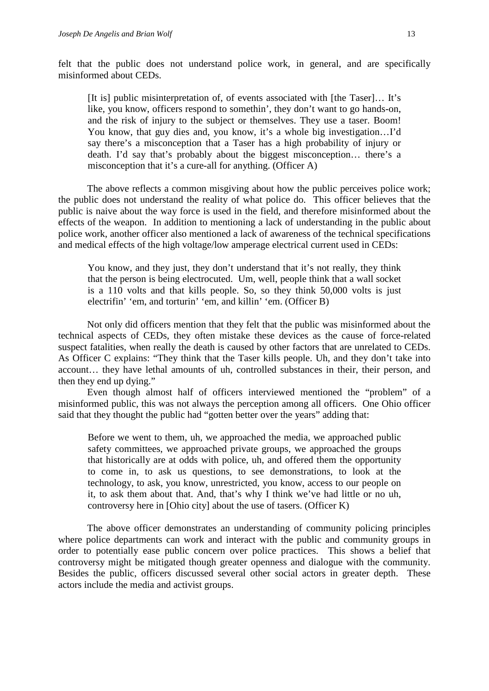felt that the public does not understand police work, in general, and are specifically misinformed about CEDs.

[It is] public misinterpretation of, of events associated with [the Taser]… It's like, you know, officers respond to somethin', they don't want to go hands-on, and the risk of injury to the subject or themselves. They use a taser. Boom! You know, that guy dies and, you know, it's a whole big investigation…I'd say there's a misconception that a Taser has a high probability of injury or death. I'd say that's probably about the biggest misconception… there's a misconception that it's a cure-all for anything. (Officer A)

The above reflects a common misgiving about how the public perceives police work; the public does not understand the reality of what police do. This officer believes that the public is naive about the way force is used in the field, and therefore misinformed about the effects of the weapon. In addition to mentioning a lack of understanding in the public about police work, another officer also mentioned a lack of awareness of the technical specifications and medical effects of the high voltage/low amperage electrical current used in CEDs:

You know, and they just, they don't understand that it's not really, they think that the person is being electrocuted. Um, well, people think that a wall socket is a 110 volts and that kills people. So, so they think 50,000 volts is just electrifin' 'em, and torturin' 'em, and killin' 'em. (Officer B)

Not only did officers mention that they felt that the public was misinformed about the technical aspects of CEDs, they often mistake these devices as the cause of force-related suspect fatalities, when really the death is caused by other factors that are unrelated to CEDs. As Officer C explains: "They think that the Taser kills people. Uh, and they don't take into account… they have lethal amounts of uh, controlled substances in their, their person, and then they end up dying."

Even though almost half of officers interviewed mentioned the "problem" of a misinformed public, this was not always the perception among all officers. One Ohio officer said that they thought the public had "gotten better over the years" adding that:

Before we went to them, uh, we approached the media, we approached public safety committees, we approached private groups, we approached the groups that historically are at odds with police, uh, and offered them the opportunity to come in, to ask us questions, to see demonstrations, to look at the technology, to ask, you know, unrestricted, you know, access to our people on it, to ask them about that. And, that's why I think we've had little or no uh, controversy here in [Ohio city] about the use of tasers. (Officer K)

The above officer demonstrates an understanding of community policing principles where police departments can work and interact with the public and community groups in order to potentially ease public concern over police practices. This shows a belief that controversy might be mitigated though greater openness and dialogue with the community. Besides the public, officers discussed several other social actors in greater depth. These actors include the media and activist groups.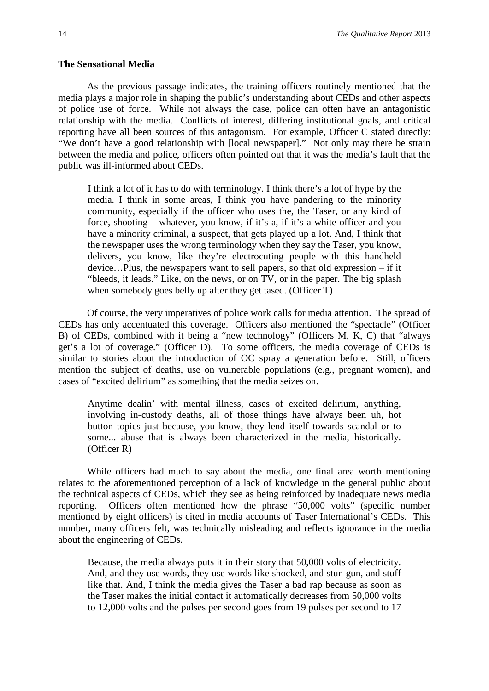#### **The Sensational Media**

As the previous passage indicates, the training officers routinely mentioned that the media plays a major role in shaping the public's understanding about CEDs and other aspects of police use of force. While not always the case, police can often have an antagonistic relationship with the media. Conflicts of interest, differing institutional goals, and critical reporting have all been sources of this antagonism. For example, Officer C stated directly: "We don't have a good relationship with [local newspaper]." Not only may there be strain between the media and police, officers often pointed out that it was the media's fault that the public was ill-informed about CEDs.

I think a lot of it has to do with terminology. I think there's a lot of hype by the media. I think in some areas, I think you have pandering to the minority community, especially if the officer who uses the, the Taser, or any kind of force, shooting – whatever, you know, if it's a, if it's a white officer and you have a minority criminal, a suspect, that gets played up a lot. And, I think that the newspaper uses the wrong terminology when they say the Taser, you know, delivers, you know, like they're electrocuting people with this handheld device…Plus, the newspapers want to sell papers, so that old expression – if it "bleeds, it leads." Like, on the news, or on TV, or in the paper. The big splash when somebody goes belly up after they get tased. (Officer T)

Of course, the very imperatives of police work calls for media attention. The spread of CEDs has only accentuated this coverage. Officers also mentioned the "spectacle" (Officer B) of CEDs, combined with it being a "new technology" (Officers M, K, C) that "always get's a lot of coverage." (Officer D). To some officers, the media coverage of CEDs is similar to stories about the introduction of OC spray a generation before. Still, officers mention the subject of deaths, use on vulnerable populations (e.g., pregnant women), and cases of "excited delirium" as something that the media seizes on.

Anytime dealin' with mental illness, cases of excited delirium, anything, involving in-custody deaths, all of those things have always been uh, hot button topics just because, you know, they lend itself towards scandal or to some... abuse that is always been characterized in the media, historically. (Officer R)

While officers had much to say about the media, one final area worth mentioning relates to the aforementioned perception of a lack of knowledge in the general public about the technical aspects of CEDs, which they see as being reinforced by inadequate news media reporting. Officers often mentioned how the phrase "50,000 volts" (specific number mentioned by eight officers) is cited in media accounts of Taser International's CEDs. This number, many officers felt, was technically misleading and reflects ignorance in the media about the engineering of CEDs.

Because, the media always puts it in their story that 50,000 volts of electricity. And, and they use words, they use words like shocked, and stun gun, and stuff like that. And, I think the media gives the Taser a bad rap because as soon as the Taser makes the initial contact it automatically decreases from 50,000 volts to 12,000 volts and the pulses per second goes from 19 pulses per second to 17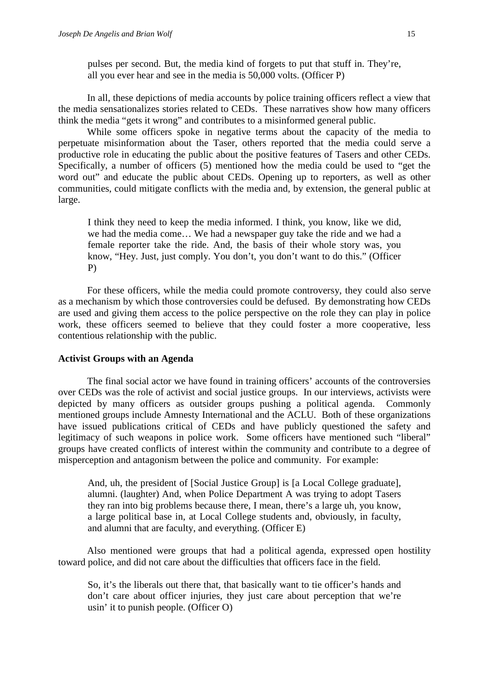pulses per second. But, the media kind of forgets to put that stuff in. They're, all you ever hear and see in the media is 50,000 volts. (Officer P)

In all, these depictions of media accounts by police training officers reflect a view that the media sensationalizes stories related to CEDs. These narratives show how many officers think the media "gets it wrong" and contributes to a misinformed general public.

While some officers spoke in negative terms about the capacity of the media to perpetuate misinformation about the Taser, others reported that the media could serve a productive role in educating the public about the positive features of Tasers and other CEDs. Specifically, a number of officers (5) mentioned how the media could be used to "get the word out" and educate the public about CEDs. Opening up to reporters, as well as other communities, could mitigate conflicts with the media and, by extension, the general public at large.

I think they need to keep the media informed. I think, you know, like we did, we had the media come… We had a newspaper guy take the ride and we had a female reporter take the ride. And, the basis of their whole story was, you know, "Hey. Just, just comply. You don't, you don't want to do this." (Officer P)

For these officers, while the media could promote controversy, they could also serve as a mechanism by which those controversies could be defused. By demonstrating how CEDs are used and giving them access to the police perspective on the role they can play in police work, these officers seemed to believe that they could foster a more cooperative, less contentious relationship with the public.

#### **Activist Groups with an Agenda**

The final social actor we have found in training officers' accounts of the controversies over CEDs was the role of activist and social justice groups. In our interviews, activists were depicted by many officers as outsider groups pushing a political agenda. Commonly mentioned groups include Amnesty International and the ACLU. Both of these organizations have issued publications critical of CEDs and have publicly questioned the safety and legitimacy of such weapons in police work. Some officers have mentioned such "liberal" groups have created conflicts of interest within the community and contribute to a degree of misperception and antagonism between the police and community. For example:

And, uh, the president of [Social Justice Group] is [a Local College graduate], alumni. (laughter) And, when Police Department A was trying to adopt Tasers they ran into big problems because there, I mean, there's a large uh, you know, a large political base in, at Local College students and, obviously, in faculty, and alumni that are faculty, and everything. (Officer E)

Also mentioned were groups that had a political agenda, expressed open hostility toward police, and did not care about the difficulties that officers face in the field.

So, it's the liberals out there that, that basically want to tie officer's hands and don't care about officer injuries, they just care about perception that we're usin' it to punish people. (Officer O)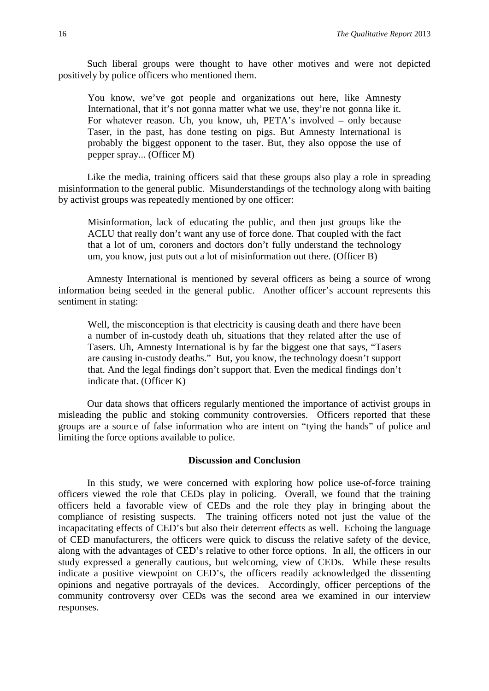Such liberal groups were thought to have other motives and were not depicted positively by police officers who mentioned them.

You know, we've got people and organizations out here, like Amnesty International, that it's not gonna matter what we use, they're not gonna like it. For whatever reason. Uh, you know, uh, PETA's involved – only because Taser, in the past, has done testing on pigs. But Amnesty International is probably the biggest opponent to the taser. But, they also oppose the use of pepper spray... (Officer M)

Like the media, training officers said that these groups also play a role in spreading misinformation to the general public. Misunderstandings of the technology along with baiting by activist groups was repeatedly mentioned by one officer:

Misinformation, lack of educating the public, and then just groups like the ACLU that really don't want any use of force done. That coupled with the fact that a lot of um, coroners and doctors don't fully understand the technology um, you know, just puts out a lot of misinformation out there. (Officer B)

Amnesty International is mentioned by several officers as being a source of wrong information being seeded in the general public. Another officer's account represents this sentiment in stating:

Well, the misconception is that electricity is causing death and there have been a number of in-custody death uh, situations that they related after the use of Tasers. Uh, Amnesty International is by far the biggest one that says, "Tasers are causing in-custody deaths." But, you know, the technology doesn't support that. And the legal findings don't support that. Even the medical findings don't indicate that. (Officer K)

Our data shows that officers regularly mentioned the importance of activist groups in misleading the public and stoking community controversies. Officers reported that these groups are a source of false information who are intent on "tying the hands" of police and limiting the force options available to police.

#### **Discussion and Conclusion**

In this study, we were concerned with exploring how police use-of-force training officers viewed the role that CEDs play in policing. Overall, we found that the training officers held a favorable view of CEDs and the role they play in bringing about the compliance of resisting suspects. The training officers noted not just the value of the incapacitating effects of CED's but also their deterrent effects as well. Echoing the language of CED manufacturers, the officers were quick to discuss the relative safety of the device, along with the advantages of CED's relative to other force options. In all, the officers in our study expressed a generally cautious, but welcoming, view of CEDs. While these results indicate a positive viewpoint on CED's, the officers readily acknowledged the dissenting opinions and negative portrayals of the devices. Accordingly, officer perceptions of the community controversy over CEDs was the second area we examined in our interview responses.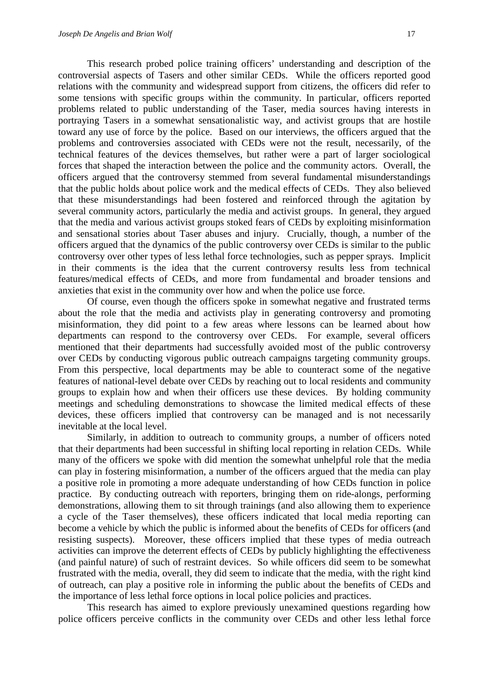This research probed police training officers' understanding and description of the controversial aspects of Tasers and other similar CEDs. While the officers reported good relations with the community and widespread support from citizens, the officers did refer to some tensions with specific groups within the community. In particular, officers reported problems related to public understanding of the Taser, media sources having interests in portraying Tasers in a somewhat sensationalistic way, and activist groups that are hostile toward any use of force by the police. Based on our interviews, the officers argued that the problems and controversies associated with CEDs were not the result, necessarily, of the technical features of the devices themselves, but rather were a part of larger sociological forces that shaped the interaction between the police and the community actors. Overall, the officers argued that the controversy stemmed from several fundamental misunderstandings that the public holds about police work and the medical effects of CEDs. They also believed that these misunderstandings had been fostered and reinforced through the agitation by several community actors, particularly the media and activist groups. In general, they argued that the media and various activist groups stoked fears of CEDs by exploiting misinformation and sensational stories about Taser abuses and injury. Crucially, though, a number of the officers argued that the dynamics of the public controversy over CEDs is similar to the public controversy over other types of less lethal force technologies, such as pepper sprays. Implicit in their comments is the idea that the current controversy results less from technical features/medical effects of CEDs, and more from fundamental and broader tensions and anxieties that exist in the community over how and when the police use force.

Of course, even though the officers spoke in somewhat negative and frustrated terms about the role that the media and activists play in generating controversy and promoting misinformation, they did point to a few areas where lessons can be learned about how departments can respond to the controversy over CEDs. For example, several officers mentioned that their departments had successfully avoided most of the public controversy over CEDs by conducting vigorous public outreach campaigns targeting community groups. From this perspective, local departments may be able to counteract some of the negative features of national-level debate over CEDs by reaching out to local residents and community groups to explain how and when their officers use these devices. By holding community meetings and scheduling demonstrations to showcase the limited medical effects of these devices, these officers implied that controversy can be managed and is not necessarily inevitable at the local level.

Similarly, in addition to outreach to community groups, a number of officers noted that their departments had been successful in shifting local reporting in relation CEDs. While many of the officers we spoke with did mention the somewhat unhelpful role that the media can play in fostering misinformation, a number of the officers argued that the media can play a positive role in promoting a more adequate understanding of how CEDs function in police practice. By conducting outreach with reporters, bringing them on ride-alongs, performing demonstrations, allowing them to sit through trainings (and also allowing them to experience a cycle of the Taser themselves), these officers indicated that local media reporting can become a vehicle by which the public is informed about the benefits of CEDs for officers (and resisting suspects). Moreover, these officers implied that these types of media outreach activities can improve the deterrent effects of CEDs by publicly highlighting the effectiveness (and painful nature) of such of restraint devices. So while officers did seem to be somewhat frustrated with the media, overall, they did seem to indicate that the media, with the right kind of outreach, can play a positive role in informing the public about the benefits of CEDs and the importance of less lethal force options in local police policies and practices.

This research has aimed to explore previously unexamined questions regarding how police officers perceive conflicts in the community over CEDs and other less lethal force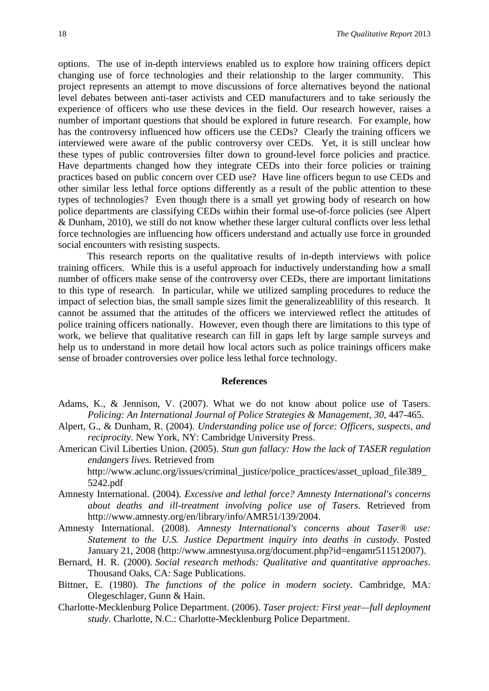options. The use of in-depth interviews enabled us to explore how training officers depict changing use of force technologies and their relationship to the larger community. This project represents an attempt to move discussions of force alternatives beyond the national level debates between anti-taser activists and CED manufacturers and to take seriously the experience of officers who use these devices in the field. Our research however, raises a number of important questions that should be explored in future research. For example, how has the controversy influenced how officers use the CEDs? Clearly the training officers we interviewed were aware of the public controversy over CEDs. Yet, it is still unclear how these types of public controversies filter down to ground-level force policies and practice. Have departments changed how they integrate CEDs into their force policies or training practices based on public concern over CED use? Have line officers begun to use CEDs and other similar less lethal force options differently as a result of the public attention to these types of technologies? Even though there is a small yet growing body of research on how police departments are classifying CEDs within their formal use-of-force policies (see Alpert & Dunham, 2010), we still do not know whether these larger cultural conflicts over less lethal force technologies are influencing how officers understand and actually use force in grounded social encounters with resisting suspects.

This research reports on the qualitative results of in-depth interviews with police training officers. While this is a useful approach for inductively understanding how a small number of officers make sense of the controversy over CEDs, there are important limitations to this type of research. In particular, while we utilized sampling procedures to reduce the impact of selection bias, the small sample sizes limit the generalizeablility of this research. It cannot be assumed that the attitudes of the officers we interviewed reflect the attitudes of police training officers nationally. However, even though there are limitations to this type of work, we believe that qualitative research can fill in gaps left by large sample surveys and help us to understand in more detail how local actors such as police trainings officers make sense of broader controversies over police less lethal force technology.

#### **References**

- Adams, K., & Jennison, V. (2007). What we do not know about police use of Tasers. *Policing: An International Journal of Police Strategies & Management, 30*, 447-465.
- Alpert, G., & Dunham, R. (2004). *Understanding police use of force: Officers, suspects, and reciprocity.* New York, NY: Cambridge University Press.
- American Civil Liberties Union. (2005). *Stun gun fallacy: How the lack of TASER regulation endangers lives.* Retrieved fro[m](http://www.google.com/url?q=http%3A%2F%2Fwww.aclunc.org%2Fissues%2Fcriminal_justice%2Fpolice_practices%2Fasset_upload_file389_5242.pdf&sa=D&sntz=1&usg=AFQjCNFSUjT2NWrLMgF9TQoWOHMiWlZwFA)

http://www.aclunc.org/issues/criminal\_justice/police\_practices/asset\_upload\_file389 5242[.pdf](http://www.google.com/url?q=http%3A%2F%2Fwww.aclunc.org%2Fissues%2Fcriminal_justice%2Fpolice_practices%2Fasset_upload_file389_5242.pdf&sa=D&sntz=1&usg=AFQjCNFSUjT2NWrLMgF9TQoWOHMiWlZwFA)

- Amnesty International. (2004). *Excessive and lethal force? Amnesty International's concerns about deaths and ill-treatment involving police use of Tasers*. Retrieved from http://www.amnesty.org/en/library/info/AMR51/139/2004.
- Amnesty International. (2008). *Amnesty International's concerns about Taser® use: Statement to the U.S. Justice Department inquiry into deaths in custody*. Posted January 21, 2008 [\(http://www.amnestyusa.org/document.php?id=engamr511512007\)](http://www.amnestyusa.org/document.php?id=engamr511512007).
- Bernard, H. R. (2000). *Social research methods: Qualitative and quantitative approaches*. Thousand Oaks, CA: Sage Publications.
- Bittner, E. (1980). *The functions of the police in modern society*. Cambridge, MA: Olegeschlager, Gunn & Hain.
- Charlotte-Mecklenburg Police Department. (2006). *Taser project: First year—full deployment study*. Charlotte, N.C.: Charlotte-Mecklenburg Police Department.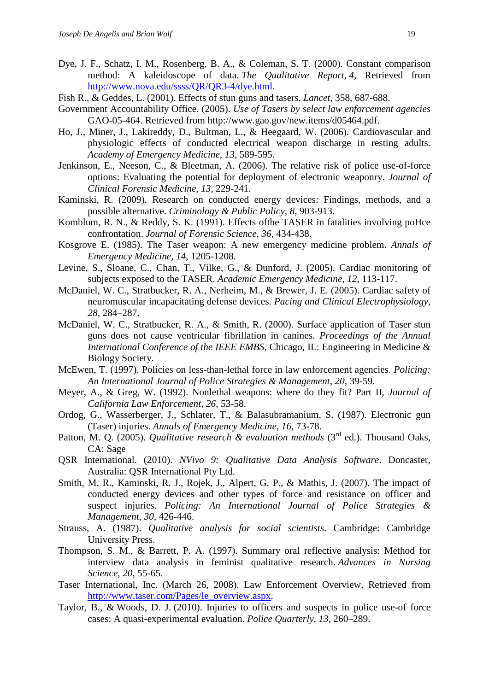- Dye, J. F., Schatz, I. M., Rosenberg, B. A., & Coleman, S. T. (2000). Constant comparison method: A kaleidoscope of data. *The Qualitative Report*, *4,* Retrieved from [http://www.nova.edu/ssss/QR/QR3-4/dye.html.](http://www.nova.edu/ssss/QR/QR3-4/dye.html)
- Fish R., & Geddes, L. (2001). Effects of stun guns and tasers. *Lancet*, 358, 687-688.
- Government Accountability Office. (2005). *Use of Tasers by select law enforcement agencies* GAO-05-464. Retrieved from [http://www.gao.gov/new.items/d05464.pdf.](http://www.google.com/url?q=http%3A%2F%2Fwww.gao.gov%2Fnew.items%2Fd05464.pdf&sa=D&sntz=1&usg=AFQjCNH5ZAfXRf1qj1556Lxkca5T7etW3Q)
- Ho, J., Miner, J., Lakireddy, D., Bultman, L., & Heegaard, W. (2006). Cardiovascular and physiologic effects of conducted electrical weapon discharge in resting adults. *Academy of Emergency Medicine*, *13*, 589-595.
- Jenkinson, E., Neeson, C., & Bleetman, A. (2006). The relative risk of police use-of-force options: Evaluating the potential for deployment of electronic weaponry. *Journal of Clinical Forensic Medicine*, *13*, 229-241.
- Kaminski, R. (2009). Research on conducted energy devices: Findings, methods, and a possible alternative. *Criminology & Public Policy, 8*, 903-913.
- Komblum, R. N., & Reddy, S. K. (1991). Effects ofthe TASER in fatalities involving poHce confrontation. *Journal of Forensic Science*, *36*, 434-438.
- Kosgrove E. (1985). The Taser weapon: A new emergency medicine problem. *Annals of Emergency Medicine, 14*, 1205-1208.
- Levine, S., Sloane, C., Chan, T., Vilke, G., & Dunford, J. (2005). Cardiac monitoring of subjects exposed to the TASER. *Academic Emergency Medicine*, *12*, 113-117.
- McDaniel, W. C., Stratbucker, R. A., Nerheim, M., & Brewer, J. E. (2005). Cardiac safety of neuromuscular incapacitating defense devices. *Pacing and Clinical Electrophysiology*, *28*, 284–287.
- McDaniel, W. C., Stratbucker, R. A., & Smith, R. (2000). Surface application of Taser stun guns does not cause ventricular fibrillation in canines. *Proceedings of the Annual International Conference of the IEEE EMBS, Chicago, IL: Engineering in Medicine &* Biology Society.
- McEwen, T. (1997). Policies on less-than-lethal force in law enforcement agencies. *Policing: An International Journal of Police Strategies & Management*, *20*, 39-59.
- Meyer, A., & Greg, W. (1992). Nonlethal weapons: where do they fit? Part II, *Journal of California Law Enforcement, 26*, 53-58.
- Ordog, G., Wasserberger, J., Schlater, T., & Balasubramanium, S. (1987). Electronic gun (Taser) injuries. *Annals of Emergency Medicine*, *16*, 73-78.
- Patton, M. Q. (2005). *Qualitative research & evaluation methods* (3<sup>rd</sup> ed.). Thousand Oaks, CA: Sage
- QSR International. (2010). *NVivo 9: Qualitative Data Analysis Software*. Doncaster, Australia: QSR International Pty Ltd.
- Smith, M. R., Kaminski, R. J., Rojek, J., Alpert, G. P., & Mathis, J. (2007). The impact of conducted energy devices and other types of force and resistance on officer and suspect injuries. *Policing: An International Journal of Police Strategies & Management*, *30*, 426-446.
- Strauss, A. (1987). *Qualitative analysis for social scientists*. Cambridge: Cambridge University Press.
- Thompson, S. M., & Barrett, P. A. (1997). Summary oral reflective analysis: Method for interview data analysis in feminist qualitative research. *Advances in Nursing Science*, *20*, 55-65.
- Taser International, Inc. (March 26, 2008). Law Enforcement Overview. Retrieved from [http://www.taser.com/Pages/le\\_overview.aspx.](http://www.taser.com/Pages/le_overview.aspx)
- Taylor, B., & Woods, D. J. (2010). Injuries to officers and suspects in police use-of force cases: A quasi-experimental evaluation. *Police Quarterly, 13*, 260–289.